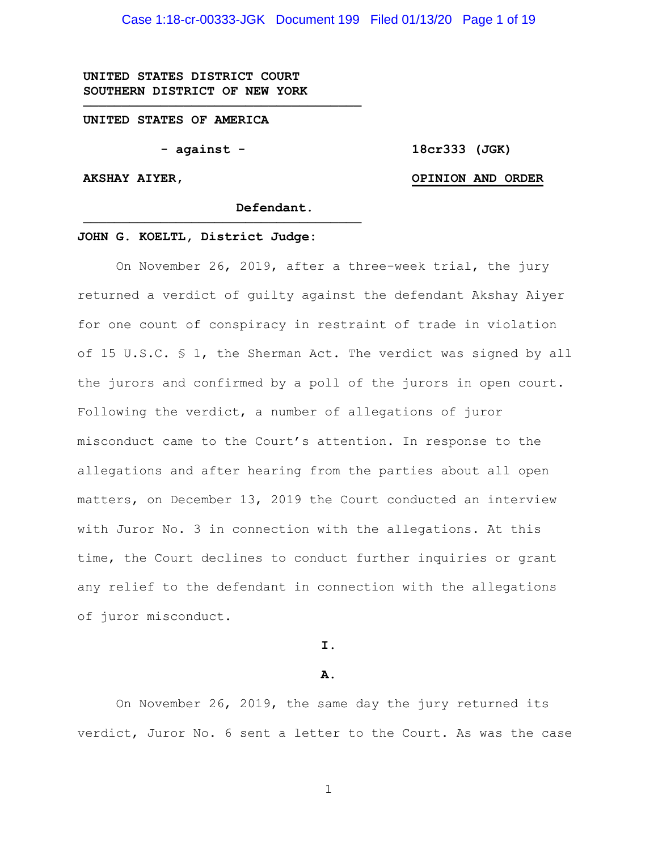Case 1:18-cr-00333-JGK Document 199 Filed 01/13/20 Page 1 of 19

**UNITED STATES DISTRICT COURT SOUTHERN DISTRICT OF NEW YORK**

**UNITED STATES OF AMERICA**

**- against -**

**────────────────────────────────────**

**────────────────────────────────────**

**18cr333 (JGK)**

#### **AKSHAY AIYER,**

#### **OPINION AND ORDER**

**Defendant.**

#### **JOHN G. KOELTL, District Judge:**

On November 26, 2019, after a three-week trial, the jury returned a verdict of guilty against the defendant Akshay Aiyer for one count of conspiracy in restraint of trade in violation of 15 U.S.C. § 1, the Sherman Act. The verdict was signed by all the jurors and confirmed by a poll of the jurors in open court. Following the verdict, a number of allegations of juror misconduct came to the Court's attention. In response to the allegations and after hearing from the parties about all open matters, on December 13, 2019 the Court conducted an interview with Juror No. 3 in connection with the allegations. At this time, the Court declines to conduct further inquiries or grant any relief to the defendant in connection with the allegations of juror misconduct.

**I.**

#### **A.**

On November 26, 2019, the same day the jury returned its verdict, Juror No. 6 sent a letter to the Court. As was the case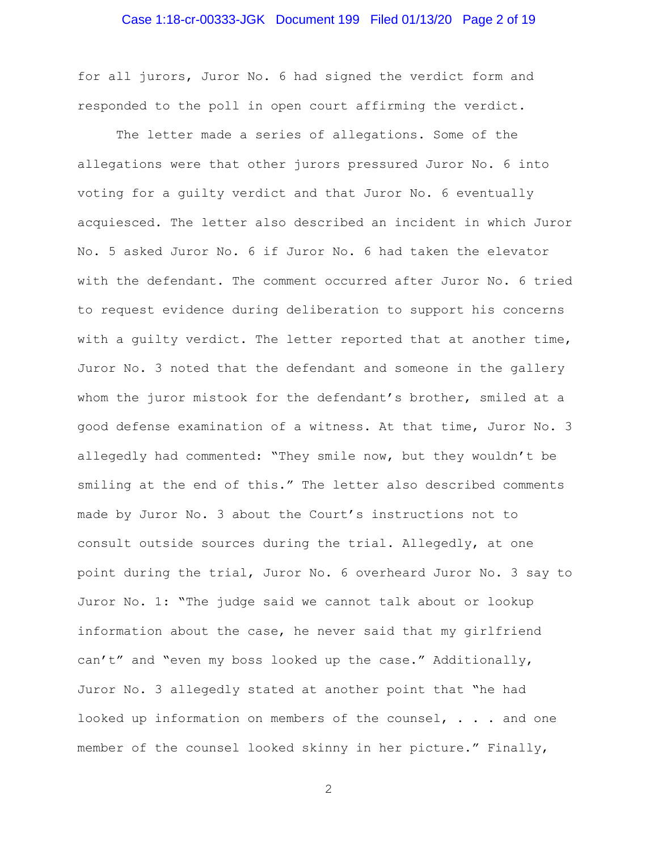## Case 1:18-cr-00333-JGK Document 199 Filed 01/13/20 Page 2 of 19

for all jurors, Juror No. 6 had signed the verdict form and responded to the poll in open court affirming the verdict.

The letter made a series of allegations. Some of the allegations were that other jurors pressured Juror No. 6 into voting for a guilty verdict and that Juror No. 6 eventually acquiesced. The letter also described an incident in which Juror No. 5 asked Juror No. 6 if Juror No. 6 had taken the elevator with the defendant. The comment occurred after Juror No. 6 tried to request evidence during deliberation to support his concerns with a guilty verdict. The letter reported that at another time, Juror No. 3 noted that the defendant and someone in the gallery whom the juror mistook for the defendant's brother, smiled at a good defense examination of a witness. At that time, Juror No. 3 allegedly had commented: "They smile now, but they wouldn't be smiling at the end of this." The letter also described comments made by Juror No. 3 about the Court's instructions not to consult outside sources during the trial. Allegedly, at one point during the trial, Juror No. 6 overheard Juror No. 3 say to Juror No. 1: "The judge said we cannot talk about or lookup information about the case, he never said that my girlfriend can't" and "even my boss looked up the case." Additionally, Juror No. 3 allegedly stated at another point that "he had looked up information on members of the counsel, . . . and one member of the counsel looked skinny in her picture." Finally,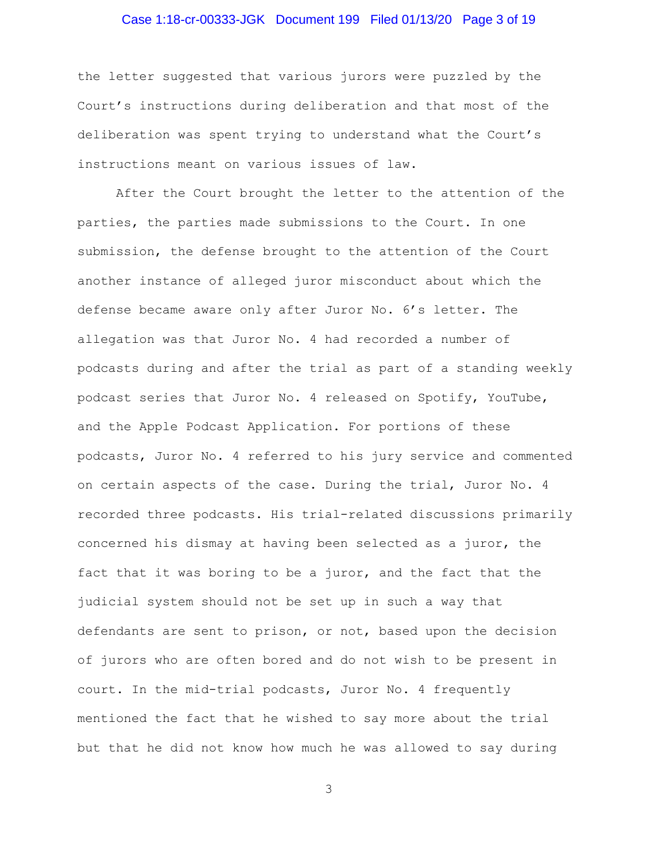# Case 1:18-cr-00333-JGK Document 199 Filed 01/13/20 Page 3 of 19

the letter suggested that various jurors were puzzled by the Court's instructions during deliberation and that most of the deliberation was spent trying to understand what the Court's instructions meant on various issues of law.

After the Court brought the letter to the attention of the parties, the parties made submissions to the Court. In one submission, the defense brought to the attention of the Court another instance of alleged juror misconduct about which the defense became aware only after Juror No. 6's letter. The allegation was that Juror No. 4 had recorded a number of podcasts during and after the trial as part of a standing weekly podcast series that Juror No. 4 released on Spotify, YouTube, and the Apple Podcast Application. For portions of these podcasts, Juror No. 4 referred to his jury service and commented on certain aspects of the case. During the trial, Juror No. 4 recorded three podcasts. His trial-related discussions primarily concerned his dismay at having been selected as a juror, the fact that it was boring to be a juror, and the fact that the judicial system should not be set up in such a way that defendants are sent to prison, or not, based upon the decision of jurors who are often bored and do not wish to be present in court. In the mid-trial podcasts, Juror No. 4 frequently mentioned the fact that he wished to say more about the trial but that he did not know how much he was allowed to say during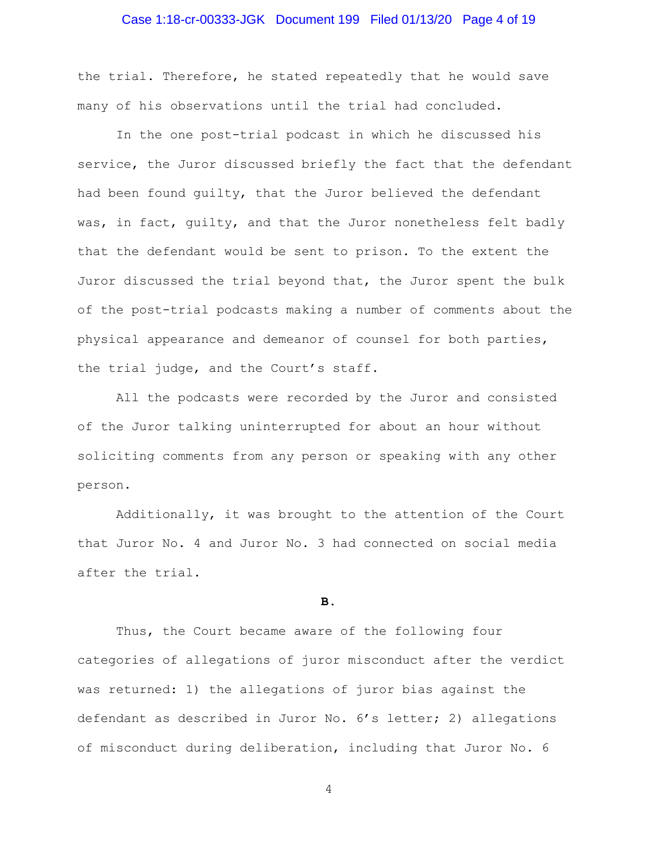#### Case 1:18-cr-00333-JGK Document 199 Filed 01/13/20 Page 4 of 19

the trial. Therefore, he stated repeatedly that he would save many of his observations until the trial had concluded.

In the one post-trial podcast in which he discussed his service, the Juror discussed briefly the fact that the defendant had been found guilty, that the Juror believed the defendant was, in fact, guilty, and that the Juror nonetheless felt badly that the defendant would be sent to prison. To the extent the Juror discussed the trial beyond that, the Juror spent the bulk of the post-trial podcasts making a number of comments about the physical appearance and demeanor of counsel for both parties, the trial judge, and the Court's staff.

All the podcasts were recorded by the Juror and consisted of the Juror talking uninterrupted for about an hour without soliciting comments from any person or speaking with any other person.

Additionally, it was brought to the attention of the Court that Juror No. 4 and Juror No. 3 had connected on social media after the trial.

#### **B.**

Thus, the Court became aware of the following four categories of allegations of juror misconduct after the verdict was returned: 1) the allegations of juror bias against the defendant as described in Juror No. 6's letter; 2) allegations of misconduct during deliberation, including that Juror No. 6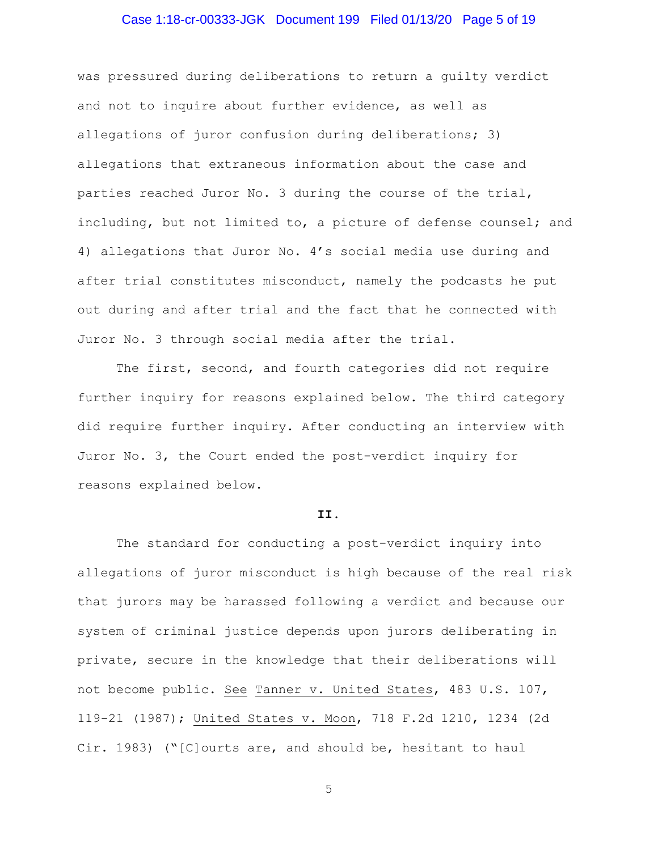## Case 1:18-cr-00333-JGK Document 199 Filed 01/13/20 Page 5 of 19

was pressured during deliberations to return a guilty verdict and not to inquire about further evidence, as well as allegations of juror confusion during deliberations; 3) allegations that extraneous information about the case and parties reached Juror No. 3 during the course of the trial, including, but not limited to, a picture of defense counsel; and 4) allegations that Juror No. 4's social media use during and after trial constitutes misconduct, namely the podcasts he put out during and after trial and the fact that he connected with Juror No. 3 through social media after the trial.

The first, second, and fourth categories did not require further inquiry for reasons explained below. The third category did require further inquiry. After conducting an interview with Juror No. 3, the Court ended the post-verdict inquiry for reasons explained below.

#### **II.**

The standard for conducting a post-verdict inquiry into allegations of juror misconduct is high because of the real risk that jurors may be harassed following a verdict and because our system of criminal justice depends upon jurors deliberating in private, secure in the knowledge that their deliberations will not become public. See Tanner v. United States, 483 U.S. 107, 119-21 (1987); United States v. Moon, 718 F.2d 1210, 1234 (2d Cir. 1983) ("[C]ourts are, and should be, hesitant to haul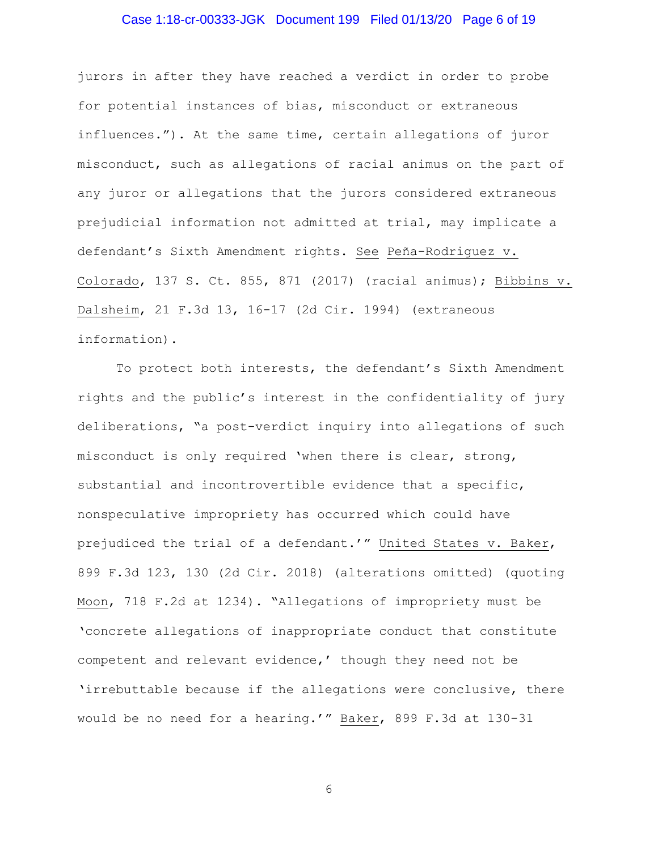## Case 1:18-cr-00333-JGK Document 199 Filed 01/13/20 Page 6 of 19

jurors in after they have reached a verdict in order to probe for potential instances of bias, misconduct or extraneous influences."). At the same time, certain allegations of juror misconduct, such as allegations of racial animus on the part of any juror or allegations that the jurors considered extraneous prejudicial information not admitted at trial, may implicate a defendant's Sixth Amendment rights. See Peña-Rodriguez v. Colorado, 137 S. Ct. 855, 871 (2017) (racial animus); Bibbins v. Dalsheim, 21 F.3d 13, 16-17 (2d Cir. 1994) (extraneous information).

To protect both interests, the defendant's Sixth Amendment rights and the public's interest in the confidentiality of jury deliberations, "a post-verdict inquiry into allegations of such misconduct is only required 'when there is clear, strong, substantial and incontrovertible evidence that a specific, nonspeculative impropriety has occurred which could have prejudiced the trial of a defendant.'" United States v. Baker, 899 F.3d 123, 130 (2d Cir. 2018) (alterations omitted) (quoting Moon, 718 F.2d at 1234). "Allegations of impropriety must be 'concrete allegations of inappropriate conduct that constitute competent and relevant evidence,' though they need not be 'irrebuttable because if the allegations were conclusive, there would be no need for a hearing.'" Baker, 899 F.3d at 130-31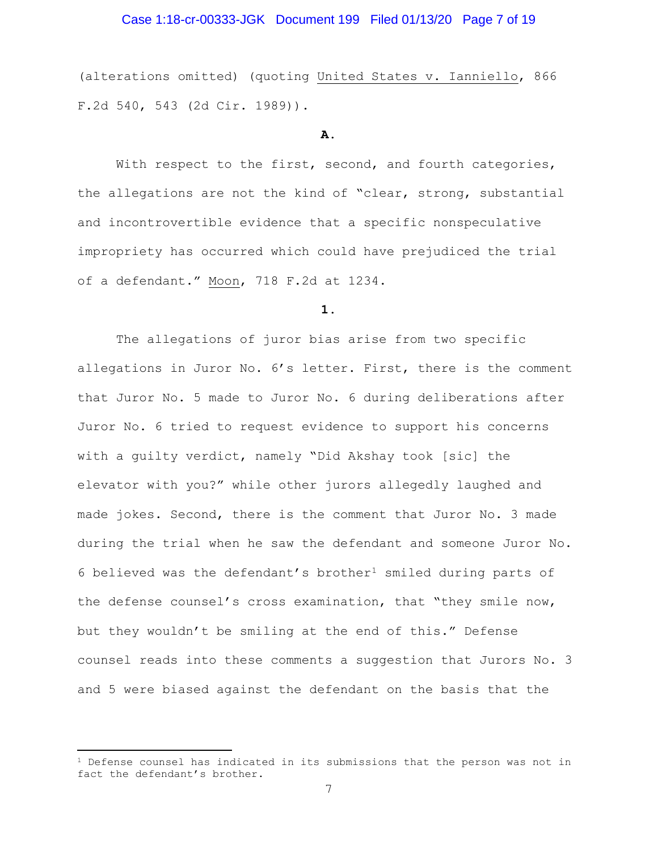## Case 1:18-cr-00333-JGK Document 199 Filed 01/13/20 Page 7 of 19

(alterations omitted) (quoting United States v. Ianniello, 866 F.2d 540, 543 (2d Cir. 1989)).

#### **A.**

With respect to the first, second, and fourth categories, the allegations are not the kind of "clear, strong, substantial and incontrovertible evidence that a specific nonspeculative impropriety has occurred which could have prejudiced the trial of a defendant." Moon, 718 F.2d at 1234.

#### **1.**

The allegations of juror bias arise from two specific allegations in Juror No. 6's letter. First, there is the comment that Juror No. 5 made to Juror No. 6 during deliberations after Juror No. 6 tried to request evidence to support his concerns with a guilty verdict, namely "Did Akshay took [sic] the elevator with you?" while other jurors allegedly laughed and made jokes. Second, there is the comment that Juror No. 3 made during the trial when he saw the defendant and someone Juror No. 6 believed was the defendant's brother<sup>1</sup> smiled during parts of the defense counsel's cross examination, that "they smile now, but they wouldn't be smiling at the end of this." Defense counsel reads into these comments a suggestion that Jurors No. 3 and 5 were biased against the defendant on the basis that the

 $\overline{a}$ 

 $1$  Defense counsel has indicated in its submissions that the person was not in fact the defendant's brother.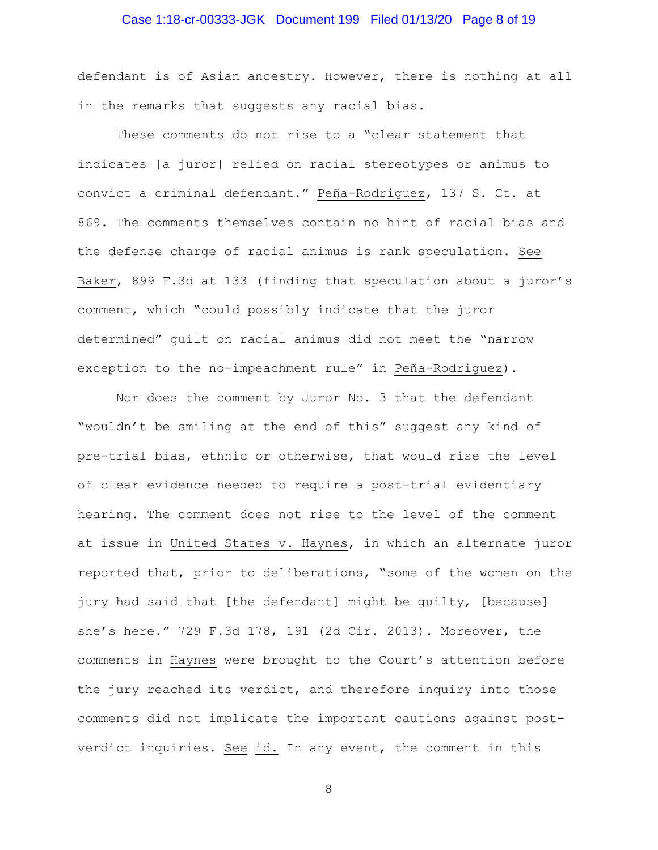## Case 1:18-cr-00333-JGK Document 199 Filed 01/13/20 Page 8 of 19

defendant is of Asian ancestry. However, there is nothing at all in the remarks that suggests any racial bias.

These comments do not rise to a "clear statement that indicates [a juror] relied on racial stereotypes or animus to convict a criminal defendant." Peña-Rodriguez, 137 S. Ct. at 869. The comments themselves contain no hint of racial bias and the defense charge of racial animus is rank speculation. See Baker, 899 F.3d at 133 (finding that speculation about a juror's comment, which "could possibly indicate that the juror determined" guilt on racial animus did not meet the "narrow exception to the no-impeachment rule" in Peña-Rodriguez).

Nor does the comment by Juror No. 3 that the defendant "wouldn't be smiling at the end of this" suggest any kind of pre-trial bias, ethnic or otherwise, that would rise the level of clear evidence needed to require a post-trial evidentiary hearing. The comment does not rise to the level of the comment at issue in United States v. Haynes, in which an alternate juror reported that, prior to deliberations, "some of the women on the jury had said that [the defendant] might be guilty, [because] she's here." 729 F.3d 178, 191 (2d Cir. 2013). Moreover, the comments in Haynes were brought to the Court's attention before the jury reached its verdict, and therefore inquiry into those comments did not implicate the important cautions against postverdict inquiries. See id. In any event, the comment in this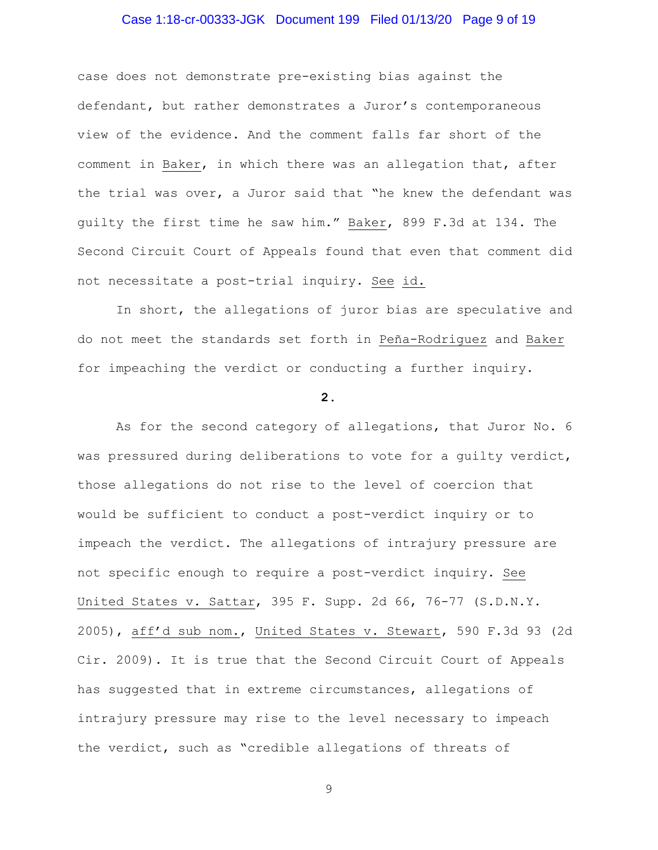## Case 1:18-cr-00333-JGK Document 199 Filed 01/13/20 Page 9 of 19

case does not demonstrate pre-existing bias against the defendant, but rather demonstrates a Juror's contemporaneous view of the evidence. And the comment falls far short of the comment in Baker, in which there was an allegation that, after the trial was over, a Juror said that "he knew the defendant was guilty the first time he saw him." Baker, 899 F.3d at 134. The Second Circuit Court of Appeals found that even that comment did not necessitate a post-trial inquiry. See id.

In short, the allegations of juror bias are speculative and do not meet the standards set forth in Peña-Rodriguez and Baker for impeaching the verdict or conducting a further inquiry.

#### **2.**

As for the second category of allegations, that Juror No. 6 was pressured during deliberations to vote for a guilty verdict, those allegations do not rise to the level of coercion that would be sufficient to conduct a post-verdict inquiry or to impeach the verdict. The allegations of intrajury pressure are not specific enough to require a post-verdict inquiry. See United States v. Sattar, 395 F. Supp. 2d 66, 76-77 (S.D.N.Y. 2005), aff'd sub nom., United States v. Stewart, 590 F.3d 93 (2d Cir. 2009). It is true that the Second Circuit Court of Appeals has suggested that in extreme circumstances, allegations of intrajury pressure may rise to the level necessary to impeach the verdict, such as "credible allegations of threats of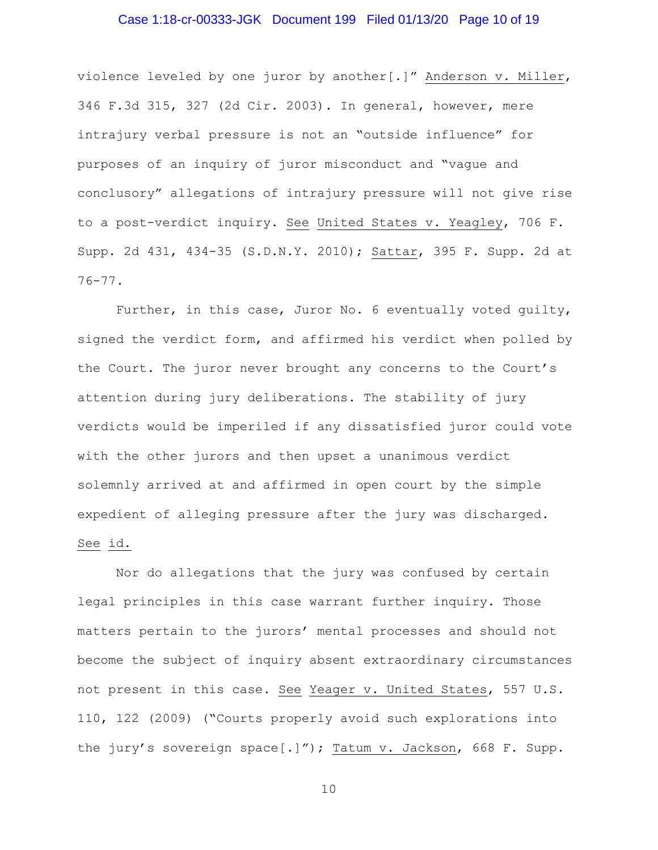## Case 1:18-cr-00333-JGK Document 199 Filed 01/13/20 Page 10 of 19

violence leveled by one juror by another[.]" Anderson v. Miller, 346 F.3d 315, 327 (2d Cir. 2003). In general, however, mere intrajury verbal pressure is not an "outside influence" for purposes of an inquiry of juror misconduct and "vague and conclusory" allegations of intrajury pressure will not give rise to a post-verdict inquiry. See United States v. Yeagley, 706 F. Supp. 2d 431, 434-35 (S.D.N.Y. 2010); Sattar, 395 F. Supp. 2d at 76-77.

Further, in this case, Juror No. 6 eventually voted guilty, signed the verdict form, and affirmed his verdict when polled by the Court. The juror never brought any concerns to the Court's attention during jury deliberations. The stability of jury verdicts would be imperiled if any dissatisfied juror could vote with the other jurors and then upset a unanimous verdict solemnly arrived at and affirmed in open court by the simple expedient of alleging pressure after the jury was discharged. See id.

Nor do allegations that the jury was confused by certain legal principles in this case warrant further inquiry. Those matters pertain to the jurors' mental processes and should not become the subject of inquiry absent extraordinary circumstances not present in this case. See Yeager v. United States, 557 U.S. 110, 122 (2009) ("Courts properly avoid such explorations into the jury's sovereign space[.]"); Tatum v. Jackson, 668 F. Supp.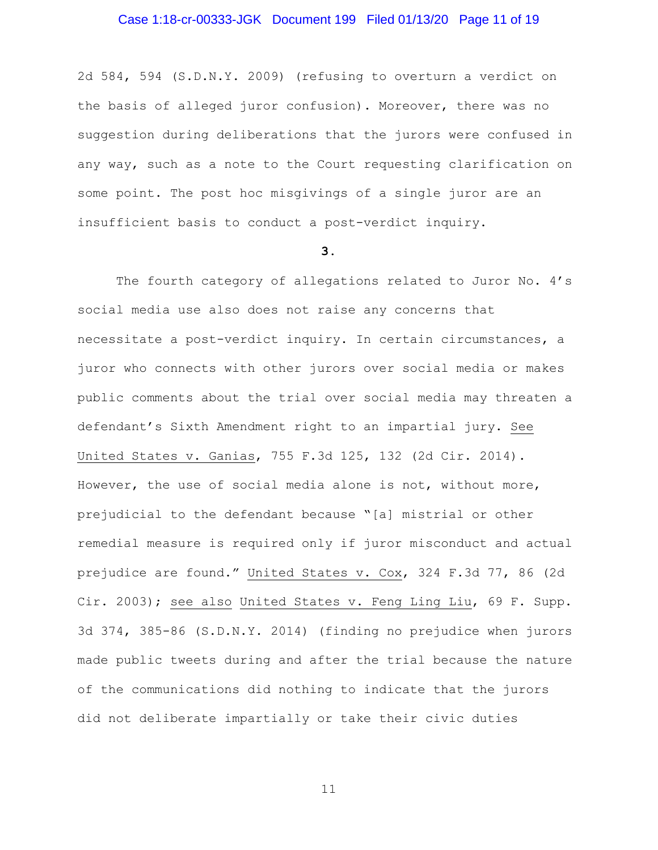## Case 1:18-cr-00333-JGK Document 199 Filed 01/13/20 Page 11 of 19

2d 584, 594 (S.D.N.Y. 2009) (refusing to overturn a verdict on the basis of alleged juror confusion). Moreover, there was no suggestion during deliberations that the jurors were confused in any way, such as a note to the Court requesting clarification on some point. The post hoc misgivings of a single juror are an insufficient basis to conduct a post-verdict inquiry.

#### **3.**

The fourth category of allegations related to Juror No. 4's social media use also does not raise any concerns that necessitate a post-verdict inquiry. In certain circumstances, a juror who connects with other jurors over social media or makes public comments about the trial over social media may threaten a defendant's Sixth Amendment right to an impartial jury. See United States v. Ganias, 755 F.3d 125, 132 (2d Cir. 2014). However, the use of social media alone is not, without more, prejudicial to the defendant because "[a] mistrial or other remedial measure is required only if juror misconduct and actual prejudice are found." United States v. Cox, 324 F.3d 77, 86 (2d Cir. 2003); see also United States v. Feng Ling Liu, 69 F. Supp. 3d 374, 385-86 (S.D.N.Y. 2014) (finding no prejudice when jurors made public tweets during and after the trial because the nature of the communications did nothing to indicate that the jurors did not deliberate impartially or take their civic duties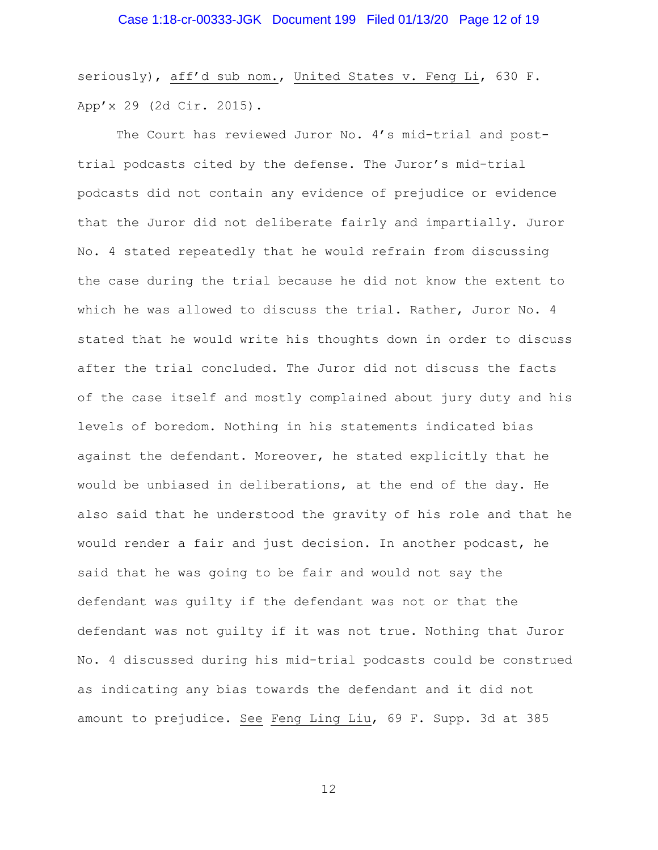seriously), aff'd sub nom., United States v. Feng Li, 630 F. App'x 29 (2d Cir. 2015).

The Court has reviewed Juror No. 4's mid-trial and posttrial podcasts cited by the defense. The Juror's mid-trial podcasts did not contain any evidence of prejudice or evidence that the Juror did not deliberate fairly and impartially. Juror No. 4 stated repeatedly that he would refrain from discussing the case during the trial because he did not know the extent to which he was allowed to discuss the trial. Rather, Juror No. 4 stated that he would write his thoughts down in order to discuss after the trial concluded. The Juror did not discuss the facts of the case itself and mostly complained about jury duty and his levels of boredom. Nothing in his statements indicated bias against the defendant. Moreover, he stated explicitly that he would be unbiased in deliberations, at the end of the day. He also said that he understood the gravity of his role and that he would render a fair and just decision. In another podcast, he said that he was going to be fair and would not say the defendant was guilty if the defendant was not or that the defendant was not guilty if it was not true. Nothing that Juror No. 4 discussed during his mid-trial podcasts could be construed as indicating any bias towards the defendant and it did not amount to prejudice. See Feng Ling Liu, 69 F. Supp. 3d at 385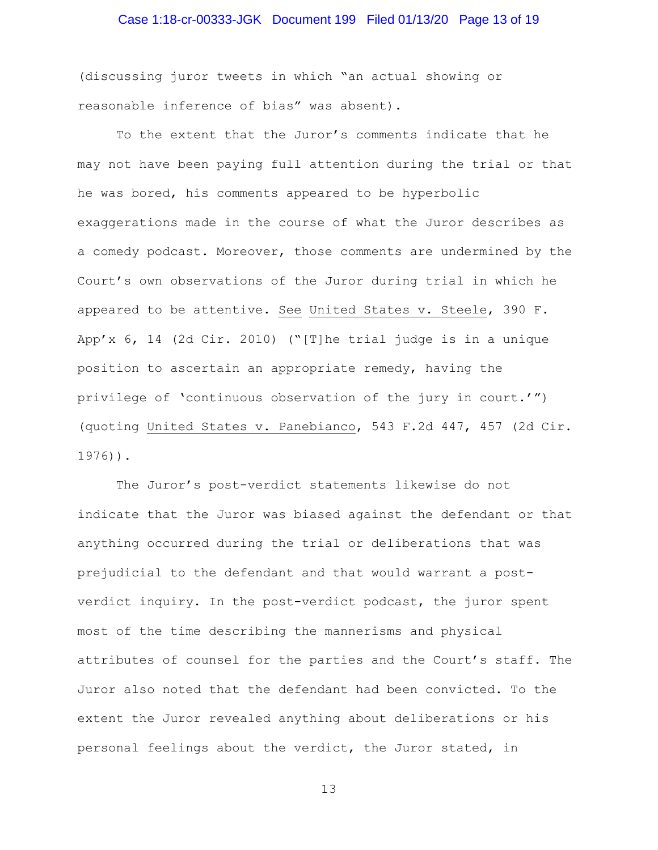# Case 1:18-cr-00333-JGK Document 199 Filed 01/13/20 Page 13 of 19

(discussing juror tweets in which "an actual showing or reasonable inference of bias" was absent).

To the extent that the Juror's comments indicate that he may not have been paying full attention during the trial or that he was bored, his comments appeared to be hyperbolic exaggerations made in the course of what the Juror describes as a comedy podcast. Moreover, those comments are undermined by the Court's own observations of the Juror during trial in which he appeared to be attentive. See United States v. Steele, 390 F. App'x 6, 14 (2d Cir. 2010) ("[T]he trial judge is in a unique position to ascertain an appropriate remedy, having the privilege of 'continuous observation of the jury in court.'") (quoting United States v. Panebianco, 543 F.2d 447, 457 (2d Cir. 1976)).

The Juror's post-verdict statements likewise do not indicate that the Juror was biased against the defendant or that anything occurred during the trial or deliberations that was prejudicial to the defendant and that would warrant a postverdict inquiry. In the post-verdict podcast, the juror spent most of the time describing the mannerisms and physical attributes of counsel for the parties and the Court's staff. The Juror also noted that the defendant had been convicted. To the extent the Juror revealed anything about deliberations or his personal feelings about the verdict, the Juror stated, in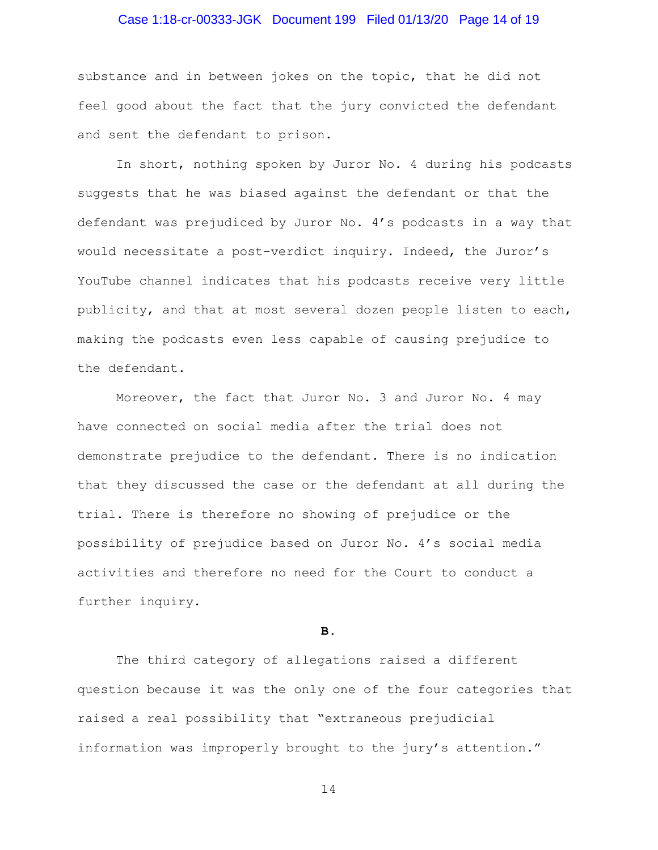## Case 1:18-cr-00333-JGK Document 199 Filed 01/13/20 Page 14 of 19

substance and in between jokes on the topic, that he did not feel good about the fact that the jury convicted the defendant and sent the defendant to prison.

In short, nothing spoken by Juror No. 4 during his podcasts suggests that he was biased against the defendant or that the defendant was prejudiced by Juror No. 4's podcasts in a way that would necessitate a post-verdict inquiry. Indeed, the Juror's YouTube channel indicates that his podcasts receive very little publicity, and that at most several dozen people listen to each, making the podcasts even less capable of causing prejudice to the defendant.

Moreover, the fact that Juror No. 3 and Juror No. 4 may have connected on social media after the trial does not demonstrate prejudice to the defendant. There is no indication that they discussed the case or the defendant at all during the trial. There is therefore no showing of prejudice or the possibility of prejudice based on Juror No. 4's social media activities and therefore no need for the Court to conduct a further inquiry.

**B.**

The third category of allegations raised a different question because it was the only one of the four categories that raised a real possibility that "extraneous prejudicial information was improperly brought to the jury's attention."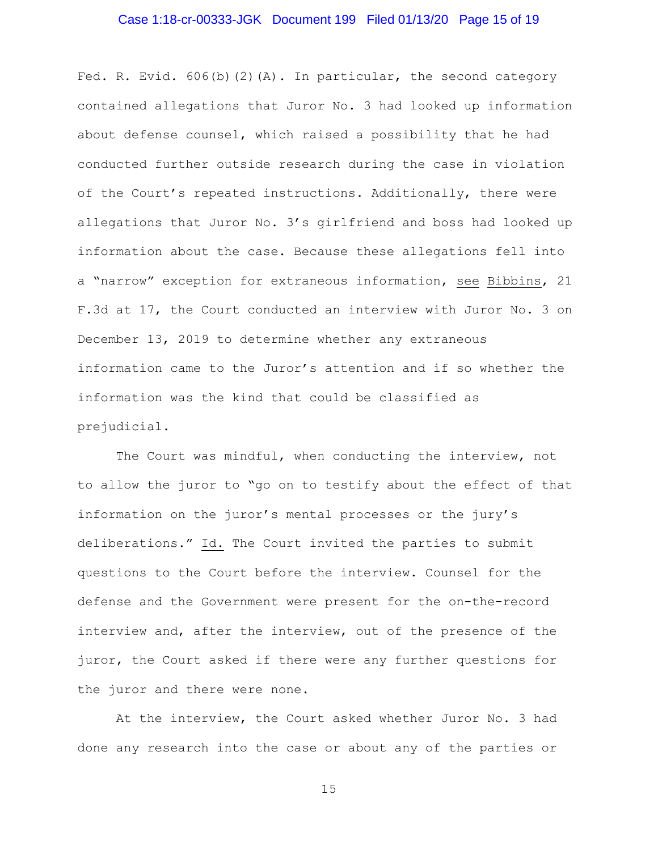## Case 1:18-cr-00333-JGK Document 199 Filed 01/13/20 Page 15 of 19

Fed. R. Evid. 606(b)(2)(A). In particular, the second category contained allegations that Juror No. 3 had looked up information about defense counsel, which raised a possibility that he had conducted further outside research during the case in violation of the Court's repeated instructions. Additionally, there were allegations that Juror No. 3's girlfriend and boss had looked up information about the case. Because these allegations fell into a "narrow" exception for extraneous information, see Bibbins, 21 F.3d at 17, the Court conducted an interview with Juror No. 3 on December 13, 2019 to determine whether any extraneous information came to the Juror's attention and if so whether the information was the kind that could be classified as prejudicial.

The Court was mindful, when conducting the interview, not to allow the juror to "go on to testify about the effect of that information on the juror's mental processes or the jury's deliberations." Id. The Court invited the parties to submit questions to the Court before the interview. Counsel for the defense and the Government were present for the on-the-record interview and, after the interview, out of the presence of the juror, the Court asked if there were any further questions for the juror and there were none.

At the interview, the Court asked whether Juror No. 3 had done any research into the case or about any of the parties or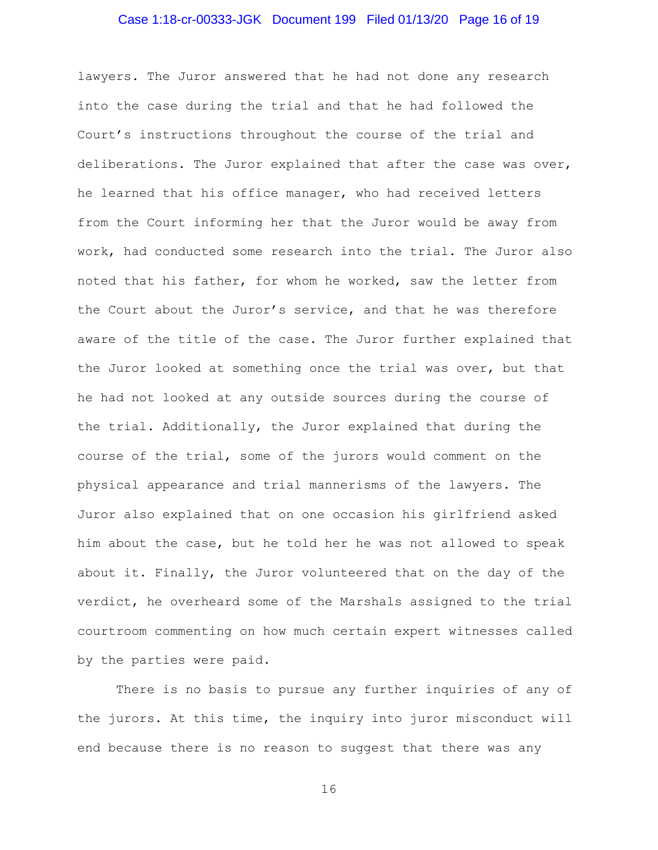#### Case 1:18-cr-00333-JGK Document 199 Filed 01/13/20 Page 16 of 19

lawyers. The Juror answered that he had not done any research into the case during the trial and that he had followed the Court's instructions throughout the course of the trial and deliberations. The Juror explained that after the case was over, he learned that his office manager, who had received letters from the Court informing her that the Juror would be away from work, had conducted some research into the trial. The Juror also noted that his father, for whom he worked, saw the letter from the Court about the Juror's service, and that he was therefore aware of the title of the case. The Juror further explained that the Juror looked at something once the trial was over, but that he had not looked at any outside sources during the course of the trial. Additionally, the Juror explained that during the course of the trial, some of the jurors would comment on the physical appearance and trial mannerisms of the lawyers. The Juror also explained that on one occasion his girlfriend asked him about the case, but he told her he was not allowed to speak about it. Finally, the Juror volunteered that on the day of the verdict, he overheard some of the Marshals assigned to the trial courtroom commenting on how much certain expert witnesses called by the parties were paid.

There is no basis to pursue any further inquiries of any of the jurors. At this time, the inquiry into juror misconduct will end because there is no reason to suggest that there was any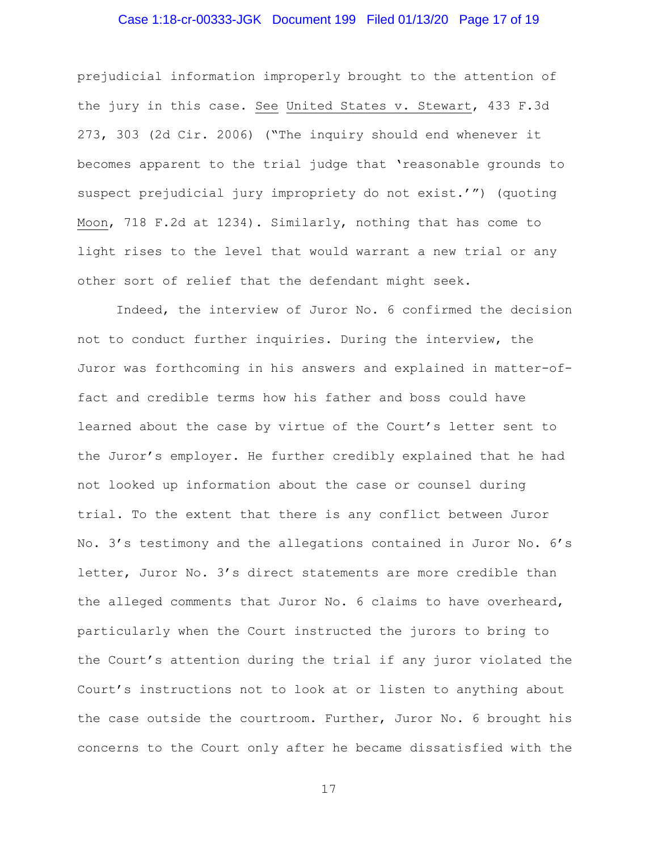## Case 1:18-cr-00333-JGK Document 199 Filed 01/13/20 Page 17 of 19

prejudicial information improperly brought to the attention of the jury in this case. See United States v. Stewart, 433 F.3d 273, 303 (2d Cir. 2006) ("The inquiry should end whenever it becomes apparent to the trial judge that 'reasonable grounds to suspect prejudicial jury impropriety do not exist.'") (quoting Moon, 718 F.2d at 1234). Similarly, nothing that has come to light rises to the level that would warrant a new trial or any other sort of relief that the defendant might seek.

Indeed, the interview of Juror No. 6 confirmed the decision not to conduct further inquiries. During the interview, the Juror was forthcoming in his answers and explained in matter-offact and credible terms how his father and boss could have learned about the case by virtue of the Court's letter sent to the Juror's employer. He further credibly explained that he had not looked up information about the case or counsel during trial. To the extent that there is any conflict between Juror No. 3's testimony and the allegations contained in Juror No. 6's letter, Juror No. 3's direct statements are more credible than the alleged comments that Juror No. 6 claims to have overheard, particularly when the Court instructed the jurors to bring to the Court's attention during the trial if any juror violated the Court's instructions not to look at or listen to anything about the case outside the courtroom. Further, Juror No. 6 brought his concerns to the Court only after he became dissatisfied with the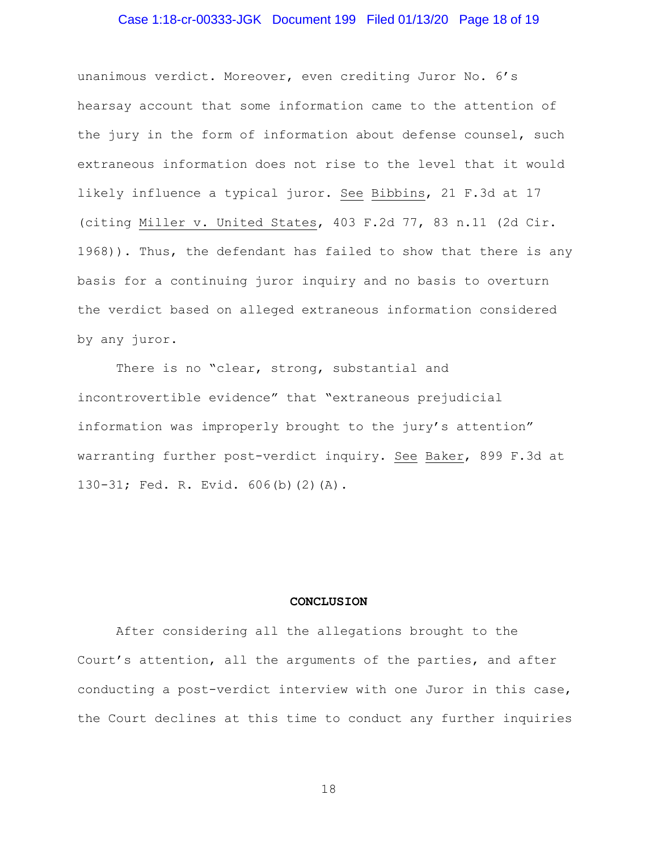## Case 1:18-cr-00333-JGK Document 199 Filed 01/13/20 Page 18 of 19

unanimous verdict. Moreover, even crediting Juror No. 6's hearsay account that some information came to the attention of the jury in the form of information about defense counsel, such extraneous information does not rise to the level that it would likely influence a typical juror. See Bibbins, 21 F.3d at 17 (citing Miller v. United States, 403 F.2d 77, 83 n.11 (2d Cir. 1968)). Thus, the defendant has failed to show that there is any basis for a continuing juror inquiry and no basis to overturn the verdict based on alleged extraneous information considered by any juror.

There is no "clear, strong, substantial and incontrovertible evidence" that "extraneous prejudicial information was improperly brought to the jury's attention" warranting further post-verdict inquiry. See Baker, 899 F.3d at 130-31; Fed. R. Evid. 606(b)(2)(A).

#### **CONCLUSION**

After considering all the allegations brought to the Court's attention, all the arguments of the parties, and after conducting a post-verdict interview with one Juror in this case, the Court declines at this time to conduct any further inquiries